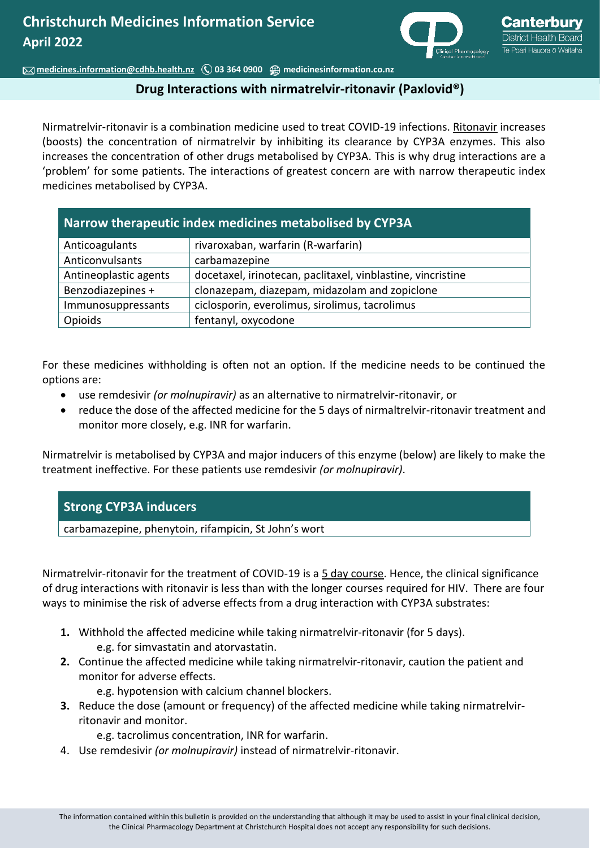

 **[medicines.information@cdhb.health.nz](mailto:medicines.information@cdhb.health.nz) 03 364 0900 [medicinesinformation.co.nz](http://www.medicinesinformation.co.nz/)**

## **Drug Interactions with nirmatrelvir-ritonavir (Paxlovid®)**

Nirmatrelvir-ritonavir is a combination medicine used to treat COVID-19 infections. Ritonavir increases (boosts) the concentration of nirmatrelvir by inhibiting its clearance by CYP3A enzymes. This also increases the concentration of other drugs metabolised by CYP3A. This is why drug interactions are a 'problem' for some patients. The interactions of greatest concern are with narrow therapeutic index medicines metabolised by CYP3A.

| Anticoagulants        | rivaroxaban, warfarin (R-warfarin)                          |
|-----------------------|-------------------------------------------------------------|
| Anticonvulsants       | carbamazepine                                               |
| Antineoplastic agents | docetaxel, irinotecan, paclitaxel, vinblastine, vincristine |
| Benzodiazepines +     | clonazepam, diazepam, midazolam and zopiclone               |
| Immunosuppressants    | ciclosporin, everolimus, sirolimus, tacrolimus              |
| Opioids               | fentanyl, oxycodone                                         |

For these medicines withholding is often not an option. If the medicine needs to be continued the options are:

- use remdesivir *(or molnupiravir)* as an alternative to nirmatrelvir-ritonavir, or
- reduce the dose of the affected medicine for the 5 days of nirmaltrelvir-ritonavir treatment and monitor more closely, e.g. INR for warfarin.

Nirmatrelvir is metabolised by CYP3A and major inducers of this enzyme (below) are likely to make the treatment ineffective. For these patients use remdesivir *(or molnupiravir)*.

## **Strong CYP3A inducers**

carbamazepine, phenytoin, rifampicin, St John's wort

Nirmatrelvir-ritonavir for the treatment of COVID-19 is a 5 day course. Hence, the clinical significance of drug interactions with ritonavir is less than with the longer courses required for HIV. There are four ways to minimise the risk of adverse effects from a drug interaction with CYP3A substrates:

- **1.** Withhold the affected medicine while taking nirmatrelvir-ritonavir (for 5 days). e.g. for simvastatin and atorvastatin.
- **2.** Continue the affected medicine while taking nirmatrelvir-ritonavir, caution the patient and monitor for adverse effects.

e.g. hypotension with calcium channel blockers.

**3.** Reduce the dose (amount or frequency) of the affected medicine while taking nirmatrelvirritonavir and monitor.

e.g. tacrolimus concentration, INR for warfarin.

4. Use remdesivir *(or molnupiravir)* instead of nirmatrelvir-ritonavir.